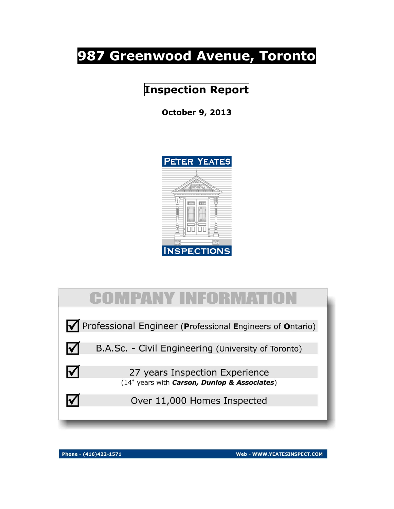# **987 Greenwood Avenue, Toronto**

**Inspection Report**

**October 9, 2013**





Phone - (416)422-1571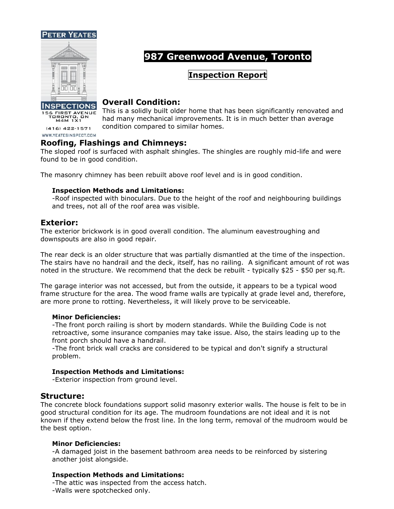



# **987 Greenwood Avenue, Toronto**

# **Inspection Report**

# **Overall Condition:**

This is a solidly built older home that has been significantly renovated and had many mechanical improvements. It is in much better than average condition compared to similar homes.

 $(416)$   $422 - 1571$ WWW.YEATESINSPECT.COM

156 FIRST AVENUE<br>TORONTO, ON<br>M4M 1X1

# **Roofing, Flashings and Chimneys:**

The sloped roof is surfaced with asphalt shingles. The shingles are roughly mid-life and were found to be in good condition.

The masonry chimney has been rebuilt above roof level and is in good condition.

#### **Inspection Methods and Limitations:**

-Roof inspected with binoculars. Due to the height of the roof and neighbouring buildings and trees, not all of the roof area was visible.

#### **Exterior:**

The exterior brickwork is in good overall condition. The aluminum eavestroughing and downspouts are also in good repair.

The rear deck is an older structure that was partially dismantled at the time of the inspection. The stairs have no handrail and the deck, itself, has no railing. A significant amount of rot was noted in the structure. We recommend that the deck be rebuilt - typically \$25 - \$50 per sq.ft.

The garage interior was not accessed, but from the outside, it appears to be a typical wood frame structure for the area. The wood frame walls are typically at grade level and, therefore, are more prone to rotting. Nevertheless, it will likely prove to be serviceable.

#### **Minor Deficiencies:**

-The front porch railing is short by modern standards. While the Building Code is not retroactive, some insurance companies may take issue. Also, the stairs leading up to the front porch should have a handrail.

-The front brick wall cracks are considered to be typical and don't signify a structural problem.

#### **Inspection Methods and Limitations:**

-Exterior inspection from ground level.

# **Structure:**

The concrete block foundations support solid masonry exterior walls. The house is felt to be in good structural condition for its age. The mudroom foundations are not ideal and it is not known if they extend below the frost line. In the long term, removal of the mudroom would be the best option.

#### **Minor Deficiencies:**

-A damaged joist in the basement bathroom area needs to be reinforced by sistering another joist alongside.

#### **Inspection Methods and Limitations:**

-The attic was inspected from the access hatch. -Walls were spotchecked only.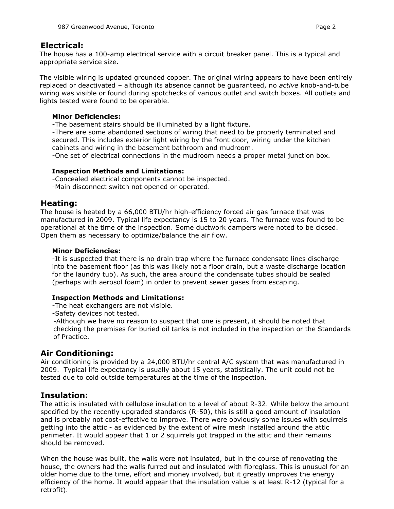# **Electrical:**

The house has a 100-amp electrical service with a circuit breaker panel. This is a typical and appropriate service size.

The visible wiring is updated grounded copper. The original wiring appears to have been entirely replaced or deactivated – although its absence cannot be guaranteed, no *active* knob-and-tube wiring was visible or found during spotchecks of various outlet and switch boxes. All outlets and lights tested were found to be operable.

#### **Minor Deficiencies:**

-The basement stairs should be illuminated by a light fixture.

-There are some abandoned sections of wiring that need to be properly terminated and secured. This includes exterior light wiring by the front door, wiring under the kitchen cabinets and wiring in the basement bathroom and mudroom.

-One set of electrical connections in the mudroom needs a proper metal junction box.

#### **Inspection Methods and Limitations:**

-Concealed electrical components cannot be inspected.

-Main disconnect switch not opened or operated.

#### **Heating:**

The house is heated by a 66,000 BTU/hr high-efficiency forced air gas furnace that was manufactured in 2009. Typical life expectancy is 15 to 20 years. The furnace was found to be operational at the time of the inspection. Some ductwork dampers were noted to be closed. Open them as necessary to optimize/balance the air flow.

#### **Minor Deficiencies:**

-It is suspected that there is no drain trap where the furnace condensate lines discharge into the basement floor (as this was likely not a floor drain, but a waste discharge location for the laundry tub). As such, the area around the condensate tubes should be sealed (perhaps with aerosol foam) in order to prevent sewer gases from escaping.

#### **Inspection Methods and Limitations:**

-The heat exchangers are not visible.

-Safety devices not tested.

-Although we have no reason to suspect that one is present, it should be noted that checking the premises for buried oil tanks is not included in the inspection or the Standards of Practice.

# **Air Conditioning:**

Air conditioning is provided by a 24,000 BTU/hr central A/C system that was manufactured in 2009. Typical life expectancy is usually about 15 years, statistically. The unit could not be tested due to cold outside temperatures at the time of the inspection.

# **Insulation:**

The attic is insulated with cellulose insulation to a level of about R-32. While below the amount specified by the recently upgraded standards (R-50), this is still a good amount of insulation and is probably not cost-effective to improve. There were obviously some issues with squirrels getting into the attic - as evidenced by the extent of wire mesh installed around the attic perimeter. It would appear that 1 or 2 squirrels got trapped in the attic and their remains should be removed.

When the house was built, the walls were not insulated, but in the course of renovating the house, the owners had the walls furred out and insulated with fibreglass. This is unusual for an older home due to the time, effort and money involved, but it greatly improves the energy efficiency of the home. It would appear that the insulation value is at least R-12 (typical for a retrofit).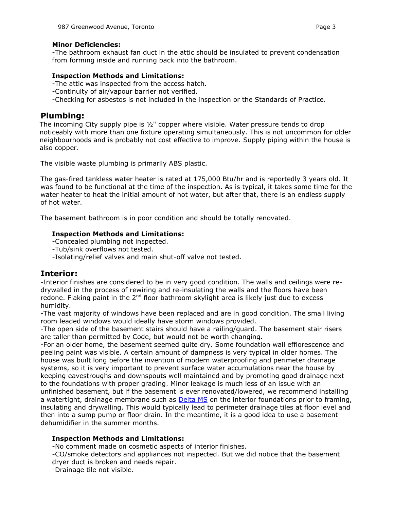#### **Minor Deficiencies:**

-The bathroom exhaust fan duct in the attic should be insulated to prevent condensation from forming inside and running back into the bathroom.

#### **Inspection Methods and Limitations:**

- -The attic was inspected from the access hatch.
- -Continuity of air/vapour barrier not verified.
- -Checking for asbestos is not included in the inspection or the Standards of Practice.

# **Plumbing:**

The incoming City supply pipe is  $\frac{1}{2}$ " copper where visible. Water pressure tends to drop noticeably with more than one fixture operating simultaneously. This is not uncommon for older neighbourhoods and is probably not cost effective to improve. Supply piping within the house is also copper.

The visible waste plumbing is primarily ABS plastic.

The gas-fired tankless water heater is rated at 175,000 Btu/hr and is reportedly 3 years old. It was found to be functional at the time of the inspection. As is typical, it takes some time for the water heater to heat the initial amount of hot water, but after that, there is an endless supply of hot water.

The basement bathroom is in poor condition and should be totally renovated.

#### **Inspection Methods and Limitations:**

-Concealed plumbing not inspected.

- -Tub/sink overflows not tested.
- -Isolating/relief valves and main shut-off valve not tested.

# **Interior:**

-Interior finishes are considered to be in very good condition. The walls and ceilings were redrywalled in the process of rewiring and re-insulating the walls and the floors have been redone. Flaking paint in the  $2<sup>nd</sup>$  floor bathroom skylight area is likely just due to excess humidity.

-The vast majority of windows have been replaced and are in good condition. The small living room leaded windows would ideally have storm windows provided.

-The open side of the basement stairs should have a railing/guard. The basement stair risers are taller than permitted by Code, but would not be worth changing.

-For an older home, the basement seemed quite dry. Some foundation wall efflorescence and peeling paint was visible. A certain amount of dampness is very typical in older homes. The house was built long before the invention of modern waterproofing and perimeter drainage systems, so it is very important to prevent surface water accumulations near the house by keeping eavestroughs and downspouts well maintained and by promoting good drainage next to the foundations with proper grading. Minor leakage is much less of an issue with an unfinished basement, but if the basement is ever renovated/lowered, we recommend installing a watertight, drainage membrane such as **Delta MS** on the interior foundations prior to framing, insulating and drywalling. This would typically lead to perimeter drainage tiles at floor level and then into a sump pump or floor drain. In the meantime, it is a good idea to use a basement dehumidifier in the summer months.

#### **Inspection Methods and Limitations:**

-No comment made on cosmetic aspects of interior finishes.

-CO/smoke detectors and appliances not inspected. But we did notice that the basement dryer duct is broken and needs repair.

-Drainage tile not visible.